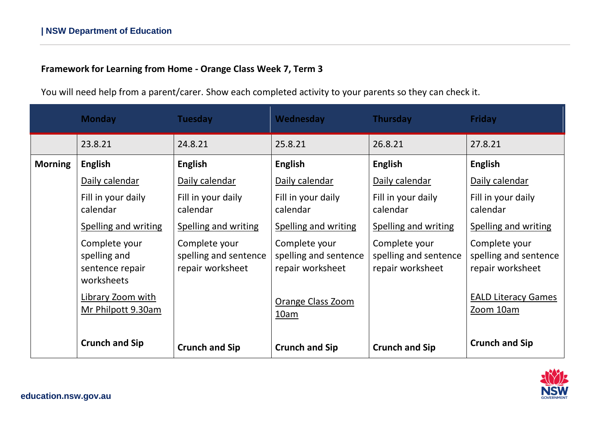## **Framework for Learning from Home - Orange Class Week 7, Term 3**

You will need help from a parent/carer. Show each completed activity to your parents so they can check it.

|                | <b>Monday</b>                                                  | <b>Tuesday</b>                                             | Wednesday                                                  | Thursday                                                   | <b>Friday</b>                                              |
|----------------|----------------------------------------------------------------|------------------------------------------------------------|------------------------------------------------------------|------------------------------------------------------------|------------------------------------------------------------|
|                | 23.8.21                                                        | 24.8.21                                                    | 25.8.21                                                    | 26.8.21                                                    | 27.8.21                                                    |
| <b>Morning</b> | <b>English</b>                                                 | <b>English</b>                                             | <b>English</b>                                             | <b>English</b>                                             | <b>English</b>                                             |
|                | Daily calendar                                                 | Daily calendar                                             | Daily calendar                                             | Daily calendar                                             | Daily calendar                                             |
|                | Fill in your daily<br>calendar                                 | Fill in your daily<br>calendar                             | Fill in your daily<br>calendar                             | Fill in your daily<br>calendar                             | Fill in your daily<br>calendar                             |
|                | <b>Spelling and writing</b>                                    | <b>Spelling and writing</b>                                | <b>Spelling and writing</b>                                | <b>Spelling and writing</b>                                | <b>Spelling and writing</b>                                |
|                | Complete your<br>spelling and<br>sentence repair<br>worksheets | Complete your<br>spelling and sentence<br>repair worksheet | Complete your<br>spelling and sentence<br>repair worksheet | Complete your<br>spelling and sentence<br>repair worksheet | Complete your<br>spelling and sentence<br>repair worksheet |
|                | Library Zoom with<br>Mr Philpott 9.30am                        |                                                            | <b>Orange Class Zoom</b><br>10am                           |                                                            | <b>EALD Literacy Games</b><br>Zoom 10am                    |
|                | <b>Crunch and Sip</b>                                          | <b>Crunch and Sip</b>                                      | <b>Crunch and Sip</b>                                      | <b>Crunch and Sip</b>                                      | <b>Crunch and Sip</b>                                      |

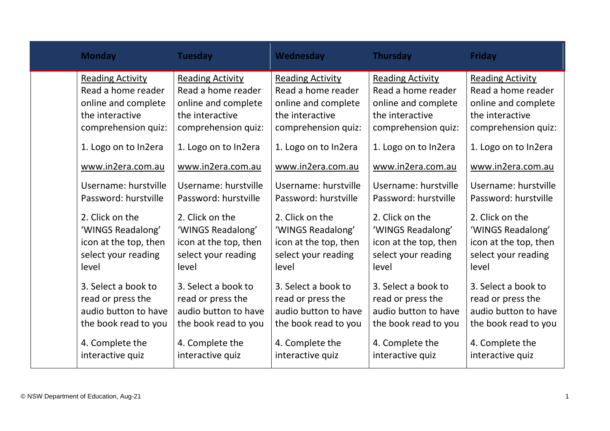| <b>Monday</b>           | <b>Tuesday</b>          | Wednesday               | <b>Thursday</b>         | <b>Friday</b>           |
|-------------------------|-------------------------|-------------------------|-------------------------|-------------------------|
| <b>Reading Activity</b> | <b>Reading Activity</b> | <b>Reading Activity</b> | <b>Reading Activity</b> | <b>Reading Activity</b> |
| Read a home reader      | Read a home reader      | Read a home reader      | Read a home reader      | Read a home reader      |
| online and complete     | online and complete     | online and complete     | online and complete     | online and complete     |
| the interactive         | the interactive         | the interactive         | the interactive         | the interactive         |
| comprehension quiz:     | comprehension quiz:     | comprehension quiz:     | comprehension quiz:     | comprehension quiz:     |
| 1. Logo on to In2era    | 1. Logo on to In2era    | 1. Logo on to In2era    | 1. Logo on to In2era    | 1. Logo on to In2era    |
| www.in2era.com.au       | www.in2era.com.au       | www.in2era.com.au       | www.in2era.com.au       | www.in2era.com.au       |
| Username: hurstville    | Username: hurstville    | Username: hurstville    | Username: hurstville    | Username: hurstville    |
| Password: hurstville    | Password: hurstville    | Password: hurstville    | Password: hurstville    | Password: hurstville    |
| 2. Click on the         | 2. Click on the         | 2. Click on the         | 2. Click on the         | 2. Click on the         |
| 'WINGS Readalong'       | 'WINGS Readalong'       | 'WINGS Readalong'       | 'WINGS Readalong'       | 'WINGS Readalong'       |
| icon at the top, then   | icon at the top, then   | icon at the top, then   | icon at the top, then   | icon at the top, then   |
| select your reading     | select your reading     | select your reading     | select your reading     | select your reading     |
| level                   | level                   | level                   | level                   | level                   |
| 3. Select a book to     | 3. Select a book to     | 3. Select a book to     | 3. Select a book to     | 3. Select a book to     |
| read or press the       | read or press the       | read or press the       | read or press the       | read or press the       |
| audio button to have    | audio button to have    | audio button to have    | audio button to have    | audio button to have    |
| the book read to you    | the book read to you    | the book read to you    | the book read to you    | the book read to you    |
| 4. Complete the         | 4. Complete the         | 4. Complete the         | 4. Complete the         | 4. Complete the         |
| interactive quiz        | interactive quiz        | interactive quiz        | interactive quiz        | interactive quiz        |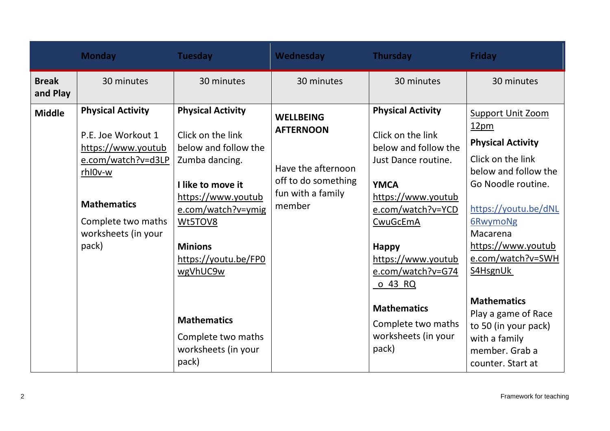|                          | <b>Monday</b>                                                                                                                                                                     | <b>Tuesday</b>                                                                                                                                                                                                                                                                                        | Wednesday                                                                                                        | Thursday                                                                                                                                                                                                                                                                                                                    | Friday                                                                                                                                                                                                                                                                                                                                                                          |
|--------------------------|-----------------------------------------------------------------------------------------------------------------------------------------------------------------------------------|-------------------------------------------------------------------------------------------------------------------------------------------------------------------------------------------------------------------------------------------------------------------------------------------------------|------------------------------------------------------------------------------------------------------------------|-----------------------------------------------------------------------------------------------------------------------------------------------------------------------------------------------------------------------------------------------------------------------------------------------------------------------------|---------------------------------------------------------------------------------------------------------------------------------------------------------------------------------------------------------------------------------------------------------------------------------------------------------------------------------------------------------------------------------|
| <b>Break</b><br>and Play | 30 minutes                                                                                                                                                                        | 30 minutes                                                                                                                                                                                                                                                                                            | 30 minutes                                                                                                       | 30 minutes                                                                                                                                                                                                                                                                                                                  | 30 minutes                                                                                                                                                                                                                                                                                                                                                                      |
| <b>Middle</b>            | <b>Physical Activity</b><br>P.E. Joe Workout 1<br>https://www.youtub<br>e.com/watch?v=d3LP<br>rhI0v-w<br><b>Mathematics</b><br>Complete two maths<br>worksheets (in your<br>pack) | <b>Physical Activity</b><br>Click on the link<br>below and follow the<br>Zumba dancing.<br>I like to move it<br>https://www.youtub<br>e.com/watch?v=ymig<br>Wt5TOV8<br><b>Minions</b><br>https://youtu.be/FP0<br>wgVhUC9w<br><b>Mathematics</b><br>Complete two maths<br>worksheets (in your<br>pack) | <b>WELLBEING</b><br><b>AFTERNOON</b><br>Have the afternoon<br>off to do something<br>fun with a family<br>member | <b>Physical Activity</b><br>Click on the link<br>below and follow the<br>Just Dance routine.<br><b>YMCA</b><br>https://www.youtub<br>e.com/watch?v=YCD<br>CwuGcEmA<br><b>Happy</b><br>https://www.youtub<br>e.com/watch?v=G74<br><u>o 43 RQ</u><br><b>Mathematics</b><br>Complete two maths<br>worksheets (in your<br>pack) | <b>Support Unit Zoom</b><br>12 <sub>pm</sub><br><b>Physical Activity</b><br>Click on the link<br>below and follow the<br>Go Noodle routine.<br>https://youtu.be/dNL<br>6RwymoNg<br>Macarena<br>https://www.youtub<br>e.com/watch?v=SWH<br>S4HsgnUk<br><b>Mathematics</b><br>Play a game of Race<br>to 50 (in your pack)<br>with a family<br>member. Grab a<br>counter. Start at |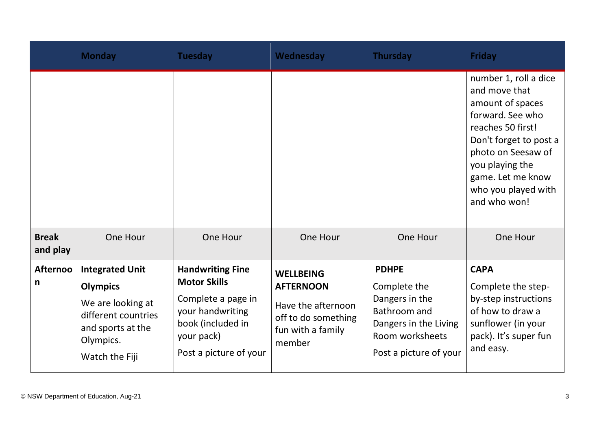|                          | <b>Monday</b>                                                                                                           | <b>Tuesday</b>                                                                                                                                        | Wednesday                                                                                                        | <b>Thursday</b>                                                                                                                      | <b>Friday</b>                                                                                                                                                                                                                      |
|--------------------------|-------------------------------------------------------------------------------------------------------------------------|-------------------------------------------------------------------------------------------------------------------------------------------------------|------------------------------------------------------------------------------------------------------------------|--------------------------------------------------------------------------------------------------------------------------------------|------------------------------------------------------------------------------------------------------------------------------------------------------------------------------------------------------------------------------------|
|                          |                                                                                                                         |                                                                                                                                                       |                                                                                                                  |                                                                                                                                      | number 1, roll a dice<br>and move that<br>amount of spaces<br>forward. See who<br>reaches 50 first!<br>Don't forget to post a<br>photo on Seesaw of<br>you playing the<br>game. Let me know<br>who you played with<br>and who won! |
| <b>Break</b><br>and play | One Hour                                                                                                                | One Hour                                                                                                                                              | One Hour                                                                                                         | One Hour                                                                                                                             | One Hour                                                                                                                                                                                                                           |
| <b>Afternoo</b><br>n     | <b>Integrated Unit</b><br><b>Olympics</b><br>We are looking at<br>different countries<br>and sports at the<br>Olympics. | <b>Handwriting Fine</b><br><b>Motor Skills</b><br>Complete a page in<br>your handwriting<br>book (included in<br>your pack)<br>Post a picture of your | <b>WELLBEING</b><br><b>AFTERNOON</b><br>Have the afternoon<br>off to do something<br>fun with a family<br>member | <b>PDHPE</b><br>Complete the<br>Dangers in the<br>Bathroom and<br>Dangers in the Living<br>Room worksheets<br>Post a picture of your | <b>CAPA</b><br>Complete the step-<br>by-step instructions<br>of how to draw a<br>sunflower (in your<br>pack). It's super fun<br>and easy.                                                                                          |
|                          | Watch the Fiji                                                                                                          |                                                                                                                                                       |                                                                                                                  |                                                                                                                                      |                                                                                                                                                                                                                                    |